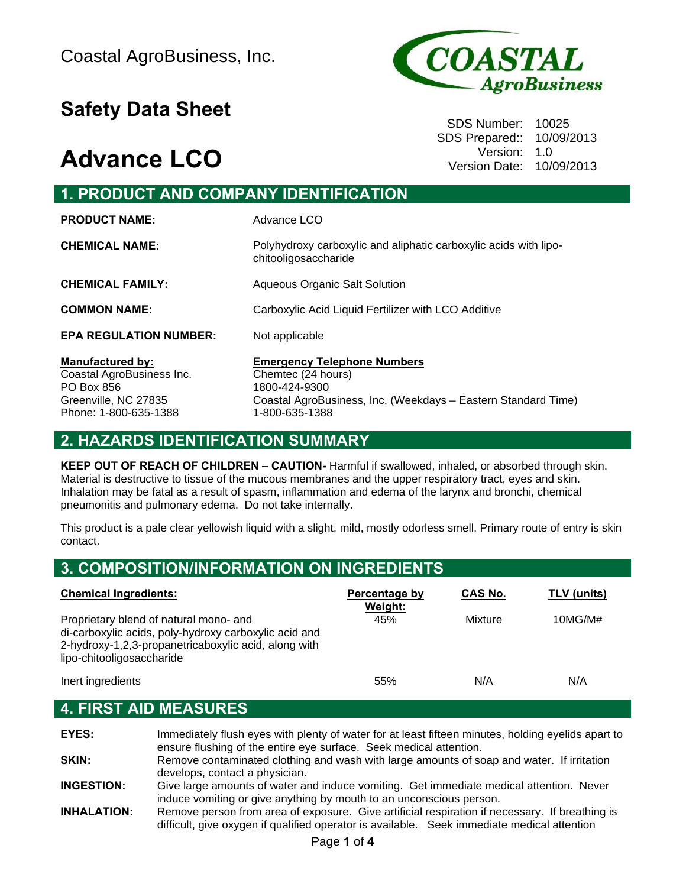# **Safety Data Sheet** Safety **Data Sheet**

## **Advance LCO**



SDS Prepared:: 10/09/2013 Version: 1.0 Version Date: 10/09/2013

| <b>1. PRODUCT AND COMPANY IDENTIFICATION</b>                                                                        |                                                                                                                                                              |  |  |
|---------------------------------------------------------------------------------------------------------------------|--------------------------------------------------------------------------------------------------------------------------------------------------------------|--|--|
| <b>PRODUCT NAME:</b>                                                                                                | Advance LCO                                                                                                                                                  |  |  |
| <b>CHEMICAL NAME:</b>                                                                                               | Polyhydroxy carboxylic and aliphatic carboxylic acids with lipo-<br>chitooligosaccharide                                                                     |  |  |
| <b>CHEMICAL FAMILY:</b>                                                                                             | Aqueous Organic Salt Solution                                                                                                                                |  |  |
| <b>COMMON NAME:</b>                                                                                                 | Carboxylic Acid Liquid Fertilizer with LCO Additive                                                                                                          |  |  |
| <b>EPA REGULATION NUMBER:</b>                                                                                       | Not applicable                                                                                                                                               |  |  |
| <b>Manufactured by:</b><br>Coastal AgroBusiness Inc.<br>PO Box 856<br>Greenville, NC 27835<br>Phone: 1-800-635-1388 | <b>Emergency Telephone Numbers</b><br>Chemtec (24 hours)<br>1800-424-9300<br>Coastal AgroBusiness, Inc. (Weekdays - Eastern Standard Time)<br>1-800-635-1388 |  |  |

#### **2. HAZARDS IDENTIFICATION SUMMARY**

**KEEP OUT OF REACH OF CHILDREN – CAUTION-** Harmful if swallowed, inhaled, or absorbed through skin. Material is destructive to tissue of the mucous membranes and the upper respiratory tract, eyes and skin. Inhalation may be fatal as a result of spasm, inflammation and edema of the larynx and bronchi, chemical pneumonitis and pulmonary edema. Do not take internally.

This product is a pale clear yellowish liquid with a slight, mild, mostly odorless smell. Primary route of entry is skin contact.

| <b>3. COMPOSITION/INFORMATION ON INGREDIENTS</b>                                                                                                                                     |                          |                |             |  |
|--------------------------------------------------------------------------------------------------------------------------------------------------------------------------------------|--------------------------|----------------|-------------|--|
| <b>Chemical Ingredients:</b>                                                                                                                                                         | Percentage by<br>Weight: | <b>CAS No.</b> | TLV (units) |  |
| Proprietary blend of natural mono- and<br>di-carboxylic acids, poly-hydroxy carboxylic acid and<br>2-hydroxy-1,2,3-propanetricaboxylic acid, along with<br>lipo-chitooligosaccharide | 45%                      | Mixture        | 10MG/M#     |  |
| Inert ingredients                                                                                                                                                                    | 55%                      | N/A            | N/A         |  |

#### **4. FIRST AID MEASURES**

**EYES:** Immediately flush eyes with plenty of water for at least fifteen minutes, holding eyelids apart to ensure flushing of the entire eye surface. Seek medical attention. **SKIN:** Remove contaminated clothing and wash with large amounts of soap and water. If irritation develops, contact a physician. **INGESTION:** Give large amounts of water and induce vomiting. Get immediate medical attention. Never induce vomiting or give anything by mouth to an unconscious person. **INHALATION:** Remove person from area of exposure. Give artificial respiration if necessary. If breathing is difficult, give oxygen if qualified operator is available. Seek immediate medical attention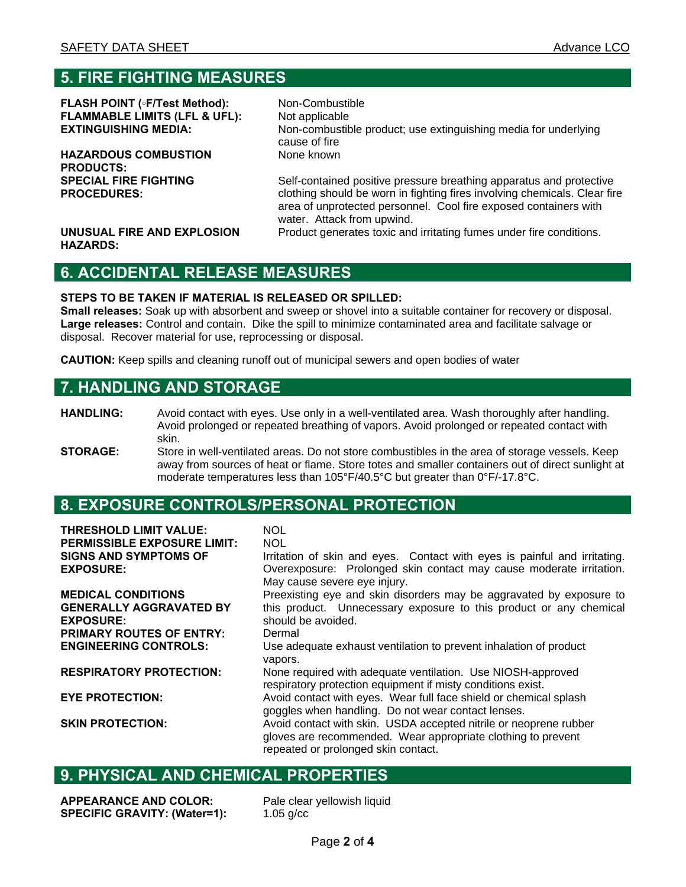#### **5. FIRE FIGHTING MEASURES**

**FLASH POINT (◦F/Test Method):** Non-Combustible **FLAMMABLE LIMITS (LFL & UFL):** Not applicable

**HAZARDOUS COMBUSTION PRODUCTS: SPECIAL FIRE FIGHTING PROCEDURES:** 

**EXTINGUISHING MEDIA:** Non-combustible product; use extinguishing media for underlying cause of fire None known

> Self-contained positive pressure breathing apparatus and protective clothing should be worn in fighting fires involving chemicals. Clear fire area of unprotected personnel. Cool fire exposed containers with water. Attack from upwind. Product generates toxic and irritating fumes under fire conditions.

**UNUSUAL FIRE AND EXPLOSION HAZARDS:** 

### **6. ACCIDENTAL RELEASE MEASURES**

#### **STEPS TO BE TAKEN IF MATERIAL IS RELEASED OR SPILLED:**

**Small releases:** Soak up with absorbent and sweep or shovel into a suitable container for recovery or disposal. **Large releases:** Control and contain. Dike the spill to minimize contaminated area and facilitate salvage or disposal. Recover material for use, reprocessing or disposal.

**CAUTION:** Keep spills and cleaning runoff out of municipal sewers and open bodies of water

#### **7. HANDLING AND STORAGE**

- **HANDLING:** Avoid contact with eyes. Use only in a well-ventilated area. Wash thoroughly after handling. Avoid prolonged or repeated breathing of vapors. Avoid prolonged or repeated contact with skin.
- **STORAGE:** Store in well-ventilated areas. Do not store combustibles in the area of storage vessels. Keep away from sources of heat or flame. Store totes and smaller containers out of direct sunlight at moderate temperatures less than 105°F/40.5°C but greater than 0°F/-17.8°C.

#### **8. EXPOSURE CONTROLS/PERSONAL PROTECTION**

**THRESHOLD LIMIT VALUE:** NOL **PERMISSIBLE EXPOSURE LIMIT: NOL SIGNS AND SYMPTOMS OF EXPOSURE:**  Irritation of skin and eyes. Contact with eyes is painful and irritating. Overexposure: Prolonged skin contact may cause moderate irritation. May cause severe eye injury. **MEDICAL CONDITIONS GENERALLY AGGRAVATED BY EXPOSURE:**  Preexisting eye and skin disorders may be aggravated by exposure to this product. Unnecessary exposure to this product or any chemical should be avoided. **PRIMARY ROUTES OF ENTRY:** Dermal<br> **ENGINEERING CONTROLS:** Use add Use adequate exhaust ventilation to prevent inhalation of product vapors. **RESPIRATORY PROTECTION:** None required with adequate ventilation. Use NIOSH-approved respiratory protection equipment if misty conditions exist. **EYE PROTECTION:** Avoid contact with eyes. Wear full face shield or chemical splash goggles when handling. Do not wear contact lenses. **SKIN PROTECTION:** Avoid contact with skin. USDA accepted nitrile or neoprene rubber gloves are recommended. Wear appropriate clothing to prevent repeated or prolonged skin contact.

#### **9. PHYSICAL AND CHEMICAL PROPERTIES**

**APPEARANCE AND COLOR:** Pale clear yellowish liquid **SPECIFIC GRAVITY: (Water=1):** 1.05 g/cc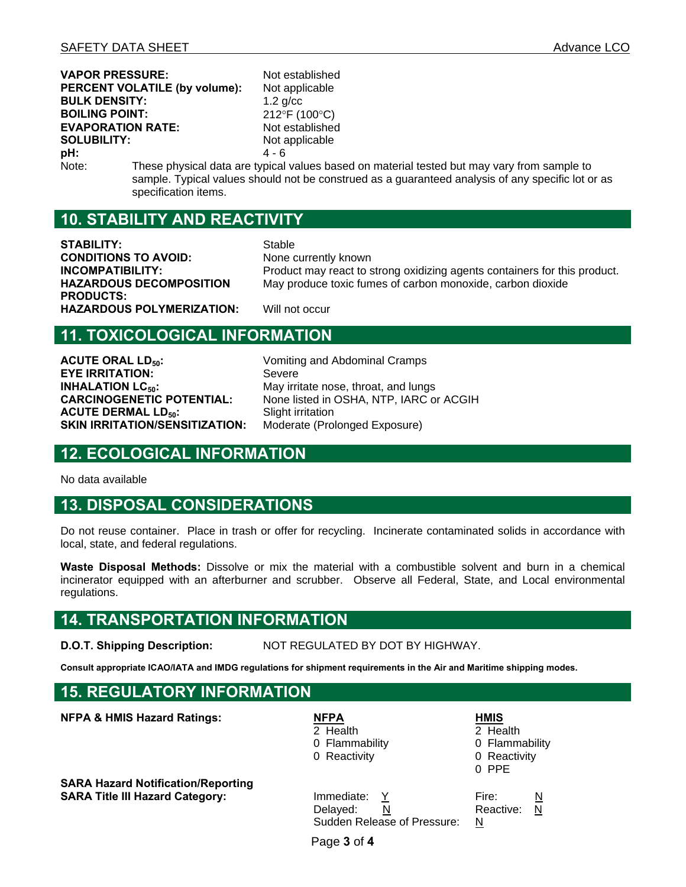**VAPOR PRESSURE:** Not established **PERCENT VOLATILE (by volume):** Not applicable **BULK DENSITY:** 1.2 g/cc **BOILING POINT:** 212°F (100°C) **EVAPORATION RATE:** Not established **SOLUBILITY:** Not applicable **pH:**  $4 - 6$ 

Note: These physical data are typical values based on material tested but may vary from sample to sample. Typical values should not be construed as a guaranteed analysis of any specific lot or as specification items.

#### **10. STABILITY AND REACTIVITY**

**STABILITY:** Stable **CONDITIONS TO AVOID:** None currently known **HAZARDOUS DECOMPOSITION PRODUCTS: HAZARDOUS POLYMERIZATION:** Will not occur

**INCOMPATIBILITY:** Product may react to strong oxidizing agents containers for this product. May produce toxic fumes of carbon monoxide, carbon dioxide

#### **11. TOXICOLOGICAL INFORMATION**

**ACUTE ORAL LD<sub>50</sub>:** Vomiting and Abdominal Cramps **EYE IRRITATION:** Severe **INHALATION LC<sub>50</sub>:** May irritate nose, throat, and lungs<br> **CARCINOGENETIC POTENTIAL:** Mone listed in OSHA, NTP, IARC o **ACUTE DERMAL LD<sub>50</sub>:** Slight irritation<br> **SKIN IRRITATION/SENSITIZATION:** Moderate (Prolonged Exposure) **SKIN IRRITATION/SENSITIZATION:** 

None listed in OSHA, NTP, IARC or ACGIH

#### **12. ECOLOGICAL INFORMATION**

No data available

#### **13. DISPOSAL CONSIDERATIONS**

Do not reuse container. Place in trash or offer for recycling. Incinerate contaminated solids in accordance with local, state, and federal regulations.

**Waste Disposal Methods:** Dissolve or mix the material with a combustible solvent and burn in a chemical incinerator equipped with an afterburner and scrubber. Observe all Federal, State, and Local environmental regulations.

#### **14. TRANSPORTATION INFORMATION**

**D.O.T. Shipping Description:** NOT REGULATED BY DOT BY HIGHWAY.

**Consult appropriate ICAO/IATA and IMDG regulations for shipment requirements in the Air and Maritime shipping modes.** 

#### **15. REGULATORY INFORMATION**

**NFPA & HMIS Hazard Ratings: NFPA** 

2 Health

0 Flammability 0 Reactivity

**SARA Hazard Notification/Reporting SARA Title III Hazard Category: Immediate: Y** Fire: N

Delayed: N Reactive: N Sudden Release of Pressure: N

**HMIS** 2 Health

0 Flammability 0 Reactivity 0 PPE

Page **3** of **4**